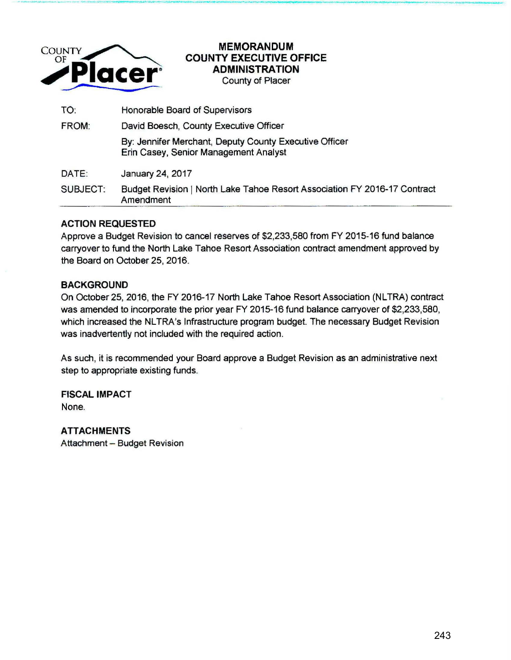

## **MEMORANDUM COUNTY EXECUTIVE OFFICE ADMINISTRATION**  County of Placer

\_., **<sup>Q</sup> <sup>P</sup>**... -- I ---... ~---·------- .... ----.. -·---------------- -... --I ..... \_O\_ •..,., \_\_\_\_ ,.\_O\_CO..,..\_,. --... ;;,...ILPF \_\_\_\_ \_

TO: Honorable Board of Supervisors FROM: David Boesch, County Executive Officer By: Jennifer Merchant, Deputy County Executive Officer Erin Casey, Senior Management Analyst DATE: January 24, 2017 SUBJECT: Budget Revision 1 North Lake Tahoe Resort Association FY 2016-17 Contract Amendment

## **ACTION REQUESTED**

Approve a Budget Revision to cancel reserves of \$2,233,580 from FY 2015-16 fund balance carryover to fund the North Lake Tahoe Resort Association contract amendment approved by the Board on October 25, 2016.

## **BACKGROUND**

On October 25, 2016, the FY 2016-17 North Lake Tahoe Resort Association (NLTRA) contract was amended to incorporate the prior year FY 2015-16 fund balance carryover of \$2,233,580, which increased the NLTRA's Infrastructure program budget. The necessary Budget Revision was inadvertently not included with the required action.

As such, it is recommended your Board approve a Budget Revision as an administrative next step to appropriate existing funds.

**FISCAL IMPACT**  None.

**ATTACHMENTS**  Attachment - Budget Revision